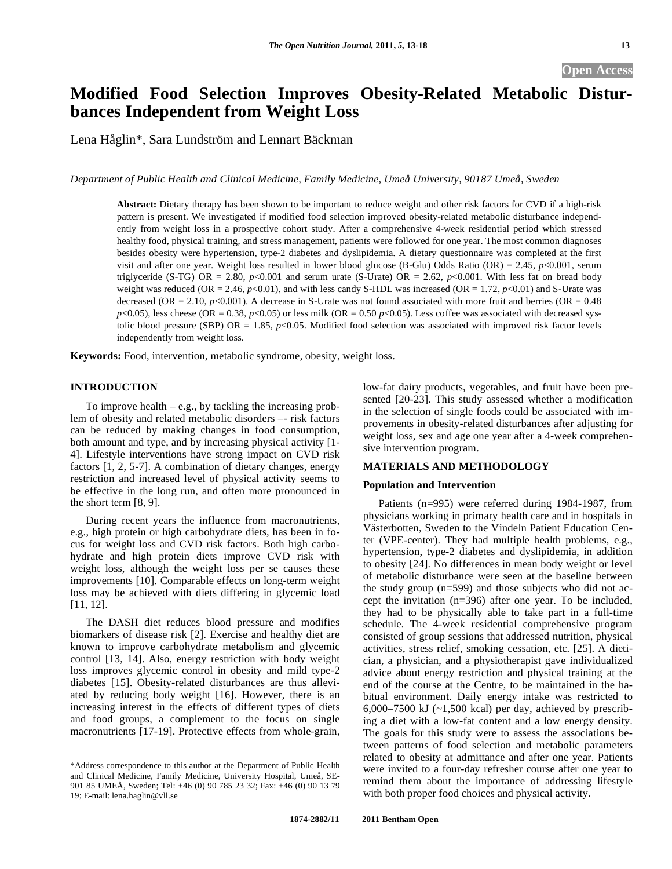# **Open Access**

# **Modified Food Selection Improves Obesity-Related Metabolic Disturbances Independent from Weight Loss**

Lena Håglin\*, Sara Lundström and Lennart Bäckman

*Department of Public Health and Clinical Medicine, Family Medicine, Umeå University, 90187 Umeå, Sweden* 

**Abstract:** Dietary therapy has been shown to be important to reduce weight and other risk factors for CVD if a high-risk pattern is present. We investigated if modified food selection improved obesity-related metabolic disturbance independently from weight loss in a prospective cohort study. After a comprehensive 4-week residential period which stressed healthy food, physical training, and stress management, patients were followed for one year. The most common diagnoses besides obesity were hypertension, type-2 diabetes and dyslipidemia. A dietary questionnaire was completed at the first visit and after one year. Weight loss resulted in lower blood glucose (B-Glu) Odds Ratio (OR) = 2.45, *p*<0.001, serum triglyceride (S-TG) OR = 2.80,  $p<0.001$  and serum urate (S-Urate) OR = 2.62,  $p<0.001$ . With less fat on bread body weight was reduced (OR = 2.46,  $p<0.01$ ), and with less candy S-HDL was increased (OR = 1.72,  $p<0.01$ ) and S-Urate was decreased (OR = 2.10,  $p$ <0.001). A decrease in S-Urate was not found associated with more fruit and berries (OR =  $0.48$ )  $p$ <0.05), less cheese (OR = 0.38,  $p$ <0.05) or less milk (OR = 0.50  $p$ <0.05). Less coffee was associated with decreased systolic blood pressure (SBP) OR = 1.85,  $p$ <0.05. Modified food selection was associated with improved risk factor levels independently from weight loss.

**Keywords:** Food, intervention, metabolic syndrome, obesity, weight loss.

## **INTRODUCTION**

To improve health  $-$  e.g., by tackling the increasing problem of obesity and related metabolic disorders –- risk factors can be reduced by making changes in food consumption, both amount and type, and by increasing physical activity [1- 4]. Lifestyle interventions have strong impact on CVD risk factors [1, 2, 5-7]. A combination of dietary changes, energy restriction and increased level of physical activity seems to be effective in the long run, and often more pronounced in the short term [8, 9].

 During recent years the influence from macronutrients, e.g., high protein or high carbohydrate diets, has been in focus for weight loss and CVD risk factors. Both high carbohydrate and high protein diets improve CVD risk with weight loss, although the weight loss per se causes these improvements [10]. Comparable effects on long-term weight loss may be achieved with diets differing in glycemic load [11, 12].

 The DASH diet reduces blood pressure and modifies biomarkers of disease risk [2]. Exercise and healthy diet are known to improve carbohydrate metabolism and glycemic control [13, 14]. Also, energy restriction with body weight loss improves glycemic control in obesity and mild type-2 diabetes [15]. Obesity-related disturbances are thus alleviated by reducing body weight [16]. However, there is an increasing interest in the effects of different types of diets and food groups, a complement to the focus on single macronutrients [17-19]. Protective effects from whole-grain,

low-fat dairy products, vegetables, and fruit have been presented [20-23]. This study assessed whether a modification in the selection of single foods could be associated with improvements in obesity-related disturbances after adjusting for weight loss, sex and age one year after a 4-week comprehensive intervention program.

#### **MATERIALS AND METHODOLOGY**

#### **Population and Intervention**

 Patients (n=995) were referred during 1984-1987, from physicians working in primary health care and in hospitals in Västerbotten, Sweden to the Vindeln Patient Education Center (VPE-center). They had multiple health problems, e.g., hypertension, type-2 diabetes and dyslipidemia, in addition to obesity [24]. No differences in mean body weight or level of metabolic disturbance were seen at the baseline between the study group (n=599) and those subjects who did not accept the invitation (n=396) after one year. To be included, they had to be physically able to take part in a full-time schedule. The 4-week residential comprehensive program consisted of group sessions that addressed nutrition, physical activities, stress relief, smoking cessation, etc. [25]. A dietician, a physician, and a physiotherapist gave individualized advice about energy restriction and physical training at the end of the course at the Centre, to be maintained in the habitual environment. Daily energy intake was restricted to 6,000–7500 kJ  $(-1,500 \text{ kcal})$  per day, achieved by prescribing a diet with a low-fat content and a low energy density. The goals for this study were to assess the associations between patterns of food selection and metabolic parameters related to obesity at admittance and after one year. Patients were invited to a four-day refresher course after one year to remind them about the importance of addressing lifestyle with both proper food choices and physical activity.

<sup>\*</sup>Address correspondence to this author at the Department of Public Health and Clinical Medicine, Family Medicine, University Hospital, Umeå, SE-901 85 UMEÅ, Sweden; Tel: +46 (0) 90 785 23 32; Fax: +46 (0) 90 13 79 19; E-mail: lena.haglin@vll.se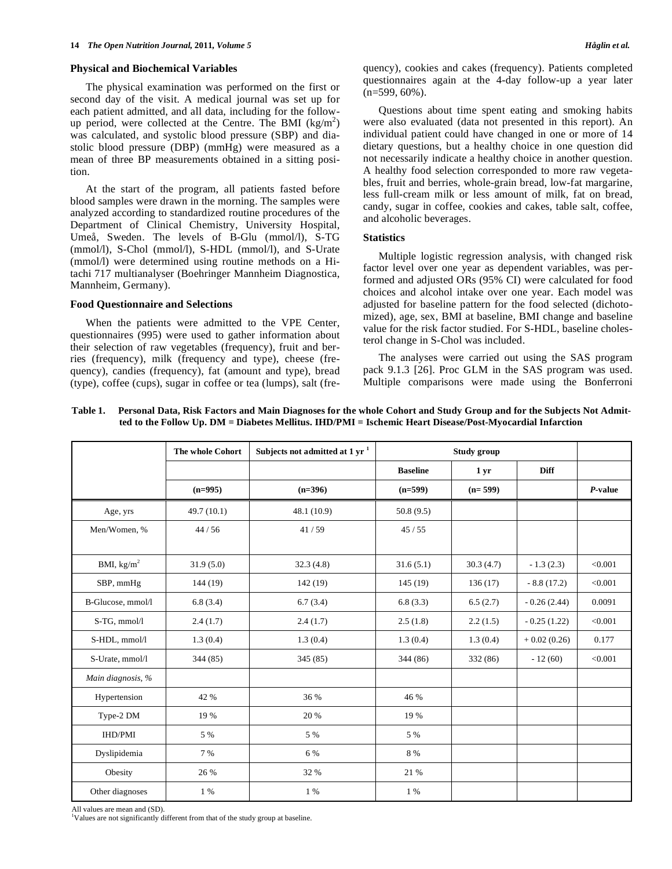#### **Physical and Biochemical Variables**

 The physical examination was performed on the first or second day of the visit. A medical journal was set up for each patient admitted, and all data, including for the followup period, were collected at the Centre. The BMI  $(kg/m<sup>2</sup>)$ was calculated, and systolic blood pressure (SBP) and diastolic blood pressure (DBP) (mmHg) were measured as a mean of three BP measurements obtained in a sitting position.

 At the start of the program, all patients fasted before blood samples were drawn in the morning. The samples were analyzed according to standardized routine procedures of the Department of Clinical Chemistry, University Hospital, Umeå, Sweden. The levels of B-Glu (mmol/l), S-TG (mmol/l), S-Chol (mmol/l), S-HDL (mmol/l), and S-Urate (mmol/l) were determined using routine methods on a Hitachi 717 multianalyser (Boehringer Mannheim Diagnostica, Mannheim, Germany).

#### **Food Questionnaire and Selections**

 When the patients were admitted to the VPE Center, questionnaires (995) were used to gather information about their selection of raw vegetables (frequency), fruit and berries (frequency), milk (frequency and type), cheese (frequency), candies (frequency), fat (amount and type), bread (type), coffee (cups), sugar in coffee or tea (lumps), salt (frequency), cookies and cakes (frequency). Patients completed questionnaires again at the 4-day follow-up a year later  $(n=599, 60\%)$ .

 Questions about time spent eating and smoking habits were also evaluated (data not presented in this report). An individual patient could have changed in one or more of 14 dietary questions, but a healthy choice in one question did not necessarily indicate a healthy choice in another question. A healthy food selection corresponded to more raw vegetables, fruit and berries, whole-grain bread, low-fat margarine, less full-cream milk or less amount of milk, fat on bread, candy, sugar in coffee, cookies and cakes, table salt, coffee, and alcoholic beverages.

## **Statistics**

 Multiple logistic regression analysis, with changed risk factor level over one year as dependent variables, was performed and adjusted ORs (95% CI) were calculated for food choices and alcohol intake over one year. Each model was adjusted for baseline pattern for the food selected (dichotomized), age, sex, BMI at baseline, BMI change and baseline value for the risk factor studied. For S-HDL, baseline cholesterol change in S-Chol was included.

 The analyses were carried out using the SAS program pack 9.1.3 [26]. Proc GLM in the SAS program was used. Multiple comparisons were made using the Bonferroni

**Table 1. Personal Data, Risk Factors and Main Diagnoses for the whole Cohort and Study Group and for the Subjects Not Admitted to the Follow Up. DM = Diabetes Mellitus. IHD/PMI = Ischemic Heart Disease/Post-Myocardial Infarction** 

|                   | The whole Cohort | Subjects not admitted at 1 $yr1$ | Study group     |           |               |         |
|-------------------|------------------|----------------------------------|-----------------|-----------|---------------|---------|
|                   |                  |                                  | <b>Baseline</b> | 1 yr      | <b>Diff</b>   |         |
|                   | $(n=995)$        | $(n=396)$                        | $(n=599)$       | $(n=599)$ |               | P-value |
| Age, yrs          | 49.7(10.1)       | 48.1(10.9)                       | 50.8(9.5)       |           |               |         |
| Men/Women, %      | 44/56            | 41/59                            | 45/55           |           |               |         |
|                   |                  |                                  |                 |           |               |         |
| BMI, $kg/m2$      | 31.9(5.0)        | 32.3(4.8)                        | 31.6(5.1)       | 30.3(4.7) | $-1.3(2.3)$   | < 0.001 |
| SBP, mmHg         | 144(19)          | 142(19)                          | 145(19)         | 136(17)   | $-8.8(17.2)$  | < 0.001 |
| B-Glucose, mmol/l | 6.8(3.4)         | 6.7(3.4)                         | 6.8(3.3)        | 6.5(2.7)  | $-0.26(2.44)$ | 0.0091  |
| S-TG, mmol/l      | 2.4(1.7)         | 2.4(1.7)                         | 2.5(1.8)        | 2.2(1.5)  | $-0.25(1.22)$ | < 0.001 |
| S-HDL, mmol/l     | 1.3(0.4)         | 1.3(0.4)                         | 1.3(0.4)        | 1.3(0.4)  | $+0.02(0.26)$ | 0.177   |
| S-Urate, mmol/l   | 344 (85)         | 345 (85)                         | 344 (86)        | 332 (86)  | $-12(60)$     | < 0.001 |
| Main diagnosis, % |                  |                                  |                 |           |               |         |
| Hypertension      | 42 %             | 36 %                             | 46 %            |           |               |         |
| Type-2 DM         | 19 %             | 20 %                             | 19 %            |           |               |         |
| <b>IHD/PMI</b>    | 5 %              | 5 %                              | 5 %             |           |               |         |
| Dyslipidemia      | 7 %              | 6 %                              | 8 %             |           |               |         |
| Obesity           | 26 %             | 32 %                             | 21 %            |           |               |         |
| Other diagnoses   | $1\%$            | $1\%$                            | $1\%$           |           |               |         |

All values are mean and (SD).

<sup>1</sup>Values are not significantly different from that of the study group at baseline.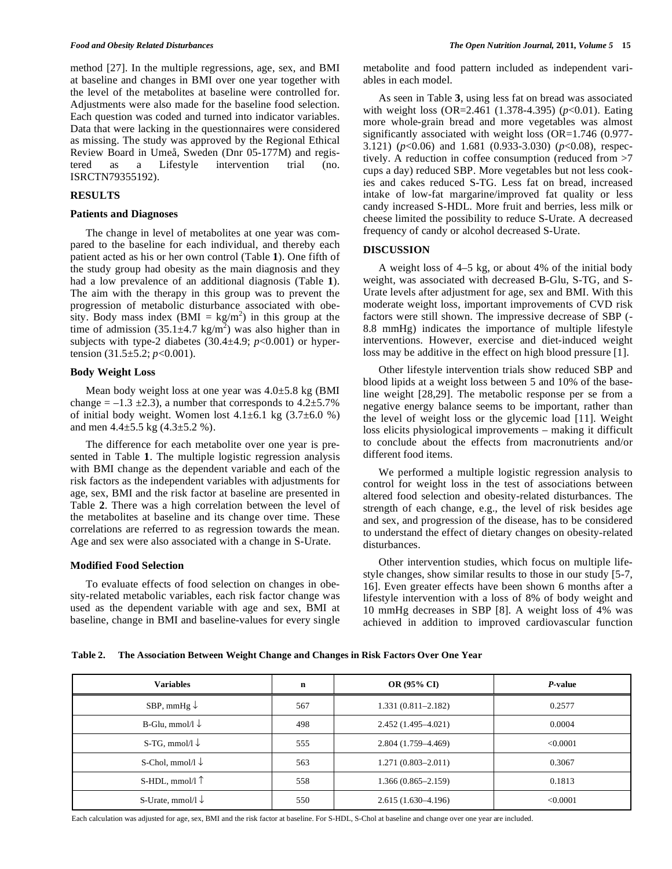method [27]. In the multiple regressions, age, sex, and BMI at baseline and changes in BMI over one year together with the level of the metabolites at baseline were controlled for. Adjustments were also made for the baseline food selection. Each question was coded and turned into indicator variables. Data that were lacking in the questionnaires were considered as missing. The study was approved by the Regional Ethical Review Board in Umeå, Sweden (Dnr 05-177M) and registered as a Lifestyle intervention trial (no. ISRCTN79355192).

#### **RESULTS**

## **Patients and Diagnoses**

 The change in level of metabolites at one year was compared to the baseline for each individual, and thereby each patient acted as his or her own control (Table **1**). One fifth of the study group had obesity as the main diagnosis and they had a low prevalence of an additional diagnosis (Table **1**). The aim with the therapy in this group was to prevent the progression of metabolic disturbance associated with obesity. Body mass index  $(BMI = kg/m<sup>2</sup>)$  in this group at the time of admission  $(35.1 \pm 4.7 \text{ kg/m}^2)$  was also higher than in subjects with type-2 diabetes (30.4 $\pm$ 4.9; *p*<0.001) or hypertension (31.5±5.2; *p*<0.001).

## **Body Weight Loss**

Mean body weight loss at one year was  $4.0\pm5.8$  kg (BMI change =  $-1.3 \pm 2.3$ ), a number that corresponds to  $4.2 \pm 5.7$ % of initial body weight. Women lost  $4.1\pm6.1$  kg  $(3.7\pm6.0$  %) and men  $4.4 \pm 5.5$  kg  $(4.3 \pm 5.2$  %).

 The difference for each metabolite over one year is presented in Table **1**. The multiple logistic regression analysis with BMI change as the dependent variable and each of the risk factors as the independent variables with adjustments for age, sex, BMI and the risk factor at baseline are presented in Table **2**. There was a high correlation between the level of the metabolites at baseline and its change over time. These correlations are referred to as regression towards the mean. Age and sex were also associated with a change in S-Urate.

### **Modified Food Selection**

 To evaluate effects of food selection on changes in obesity-related metabolic variables, each risk factor change was used as the dependent variable with age and sex, BMI at baseline, change in BMI and baseline-values for every single

metabolite and food pattern included as independent variables in each model.

 As seen in Table **3**, using less fat on bread was associated with weight loss (OR=2.461 (1.378-4.395) ( $p$ <0.01). Eating more whole-grain bread and more vegetables was almost significantly associated with weight loss (OR=1.746 (0.977- 3.121) (*p*<0.06) and 1.681 (0.933-3.030) (*p*<0.08), respectively. A reduction in coffee consumption (reduced from >7 cups a day) reduced SBP. More vegetables but not less cookies and cakes reduced S-TG. Less fat on bread, increased intake of low-fat margarine/improved fat quality or less candy increased S-HDL. More fruit and berries, less milk or cheese limited the possibility to reduce S-Urate. A decreased frequency of candy or alcohol decreased S-Urate.

## **DISCUSSION**

 A weight loss of 4–5 kg, or about 4% of the initial body weight, was associated with decreased B-Glu, S-TG, and S-Urate levels after adjustment for age, sex and BMI. With this moderate weight loss, important improvements of CVD risk factors were still shown. The impressive decrease of SBP (- 8.8 mmHg) indicates the importance of multiple lifestyle interventions. However, exercise and diet-induced weight loss may be additive in the effect on high blood pressure [1].

 Other lifestyle intervention trials show reduced SBP and blood lipids at a weight loss between 5 and 10% of the baseline weight [28,29]. The metabolic response per se from a negative energy balance seems to be important, rather than the level of weight loss or the glycemic load [11]. Weight loss elicits physiological improvements – making it difficult to conclude about the effects from macronutrients and/or different food items.

 We performed a multiple logistic regression analysis to control for weight loss in the test of associations between altered food selection and obesity-related disturbances. The strength of each change, e.g., the level of risk besides age and sex, and progression of the disease, has to be considered to understand the effect of dietary changes on obesity-related disturbances.

 Other intervention studies, which focus on multiple lifestyle changes, show similar results to those in our study [5-7, 16]. Even greater effects have been shown 6 months after a lifestyle intervention with a loss of 8% of body weight and 10 mmHg decreases in SBP [8]. A weight loss of 4% was achieved in addition to improved cardiovascular function

**Table 2. The Association Between Weight Change and Changes in Risk Factors Over One Year** 

| <b>Variables</b>             | $\mathbf n$ | <b>OR (95% CI)</b>     | P-value  |  |
|------------------------------|-------------|------------------------|----------|--|
| SBP, mmHg $\downarrow$       | 567         | $1.331(0.811 - 2.182)$ | 0.2577   |  |
| B-Glu, mmol/l $\downarrow$   | 498         | 2.452 (1.495–4.021)    | 0.0004   |  |
| S-TG, mmol/l $\downarrow$    | 555         | 2.804 (1.759–4.469)    | < 0.0001 |  |
| S-Chol, mmol/l $\downarrow$  | 563         | $1.271(0.803 - 2.011)$ | 0.3067   |  |
| S-HDL, mmol/l $\uparrow$     | 558         | $1.366(0.865 - 2.159)$ | 0.1813   |  |
| S-Urate, mmol/l $\downarrow$ | 550         | $2.615(1.630-4.196)$   | < 0.0001 |  |

Each calculation was adjusted for age, sex, BMI and the risk factor at baseline. For S-HDL, S-Chol at baseline and change over one year are included.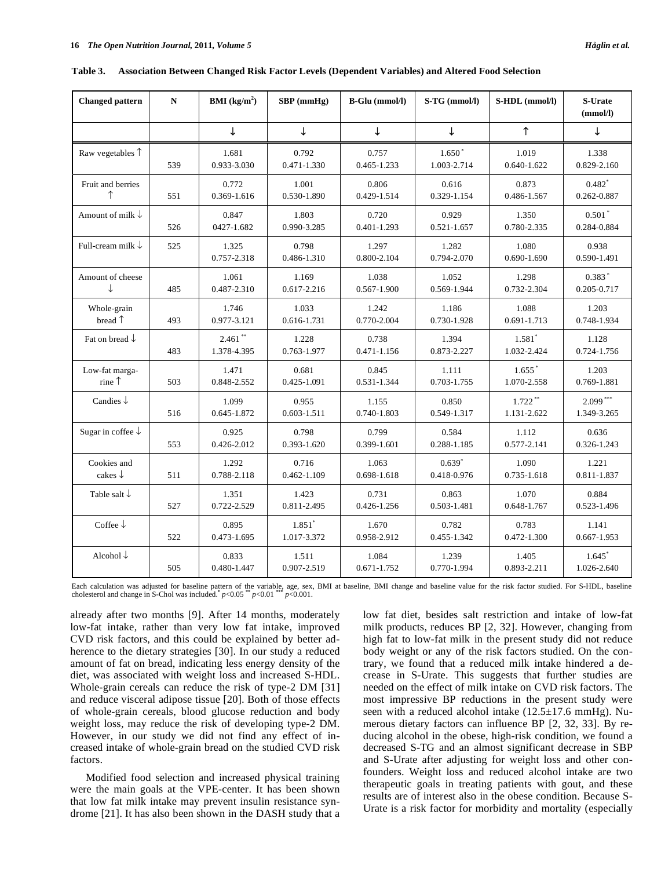| <b>Changed pattern</b>            | ${\bf N}$ | <b>BMI</b> ( $kg/m2$ )    | $SBP$ (mmHg)                        | B-Glu (mmol/l)       | S-TG (mmol/l)           | S-HDL (mmol/l)                      | S-Urate<br>(mmol/l)       |
|-----------------------------------|-----------|---------------------------|-------------------------------------|----------------------|-------------------------|-------------------------------------|---------------------------|
|                                   |           | ↓                         | ↓                                   | $\downarrow$         | ↓                       | ↑                                   | $\downarrow$              |
| Raw vegetables 1                  | 539       | 1.681<br>0.933-3.030      | 0.792<br>0.471-1.330                | 0.757<br>0.465-1.233 | $1.650*$<br>1.003-2.714 | 1.019<br>$0.640 - 1.622$            | 1.338<br>0.829-2.160      |
| Fruit and berries<br>↑            | 551       | 0.772<br>0.369-1.616      | 1.001<br>0.530-1.890                | 0.806<br>0.429-1.514 | 0.616<br>0.329-1.154    | 0.873<br>0.486-1.567                | $0.482*$<br>0.262-0.887   |
| Amount of milk $\downarrow$       | 526       | 0.847<br>0427-1.682       | 1.803<br>0.990-3.285                | 0.720<br>0.401-1.293 | 0.929<br>0.521-1.657    | 1.350<br>0.780-2.335                | $0.501*$<br>0.284-0.884   |
| Full-cream milk $\downarrow$      | 525       | 1.325<br>0.757-2.318      | 0.798<br>0.486-1.310                | 1.297<br>0.800-2.104 | 1.282<br>0.794-2.070    | 1.080<br>0.690-1.690                | 0.938<br>0.590-1.491      |
| Amount of cheese<br>↓             | 485       | 1.061<br>0.487-2.310      | 1.169<br>0.617-2.216                | 1.038<br>0.567-1.900 | 1.052<br>0.569-1.944    | 1.298<br>0.732-2.304                | $0.383*$<br>0.205-0.717   |
| Whole-grain<br>bread 1            | 493       | 1.746<br>0.977-3.121      | 1.033<br>0.616-1.731                | 1.242<br>0.770-2.004 | 1.186<br>0.730-1.928    | 1.088<br>0.691-1.713                | 1.203<br>0.748-1.934      |
| Fat on bread $\downarrow$         | 483       | $2.461$ **<br>1.378-4.395 | 1.228<br>0.763-1.977                | 0.738<br>0.471-1.156 | 1.394<br>0.873-2.227    | $1.581$ <sup>*</sup><br>1.032-2.424 | 1.128<br>0.724-1.756      |
| Low-fat marga-<br>rine            | 503       | 1.471<br>0.848-2.552      | 0.681<br>0.425-1.091                | 0.845<br>0.531-1.344 | 1.111<br>0.703-1.755    | $1.655*$<br>1.070-2.558             | 1.203<br>0.769-1.881      |
| Candies $\downarrow$              | 516       | 1.099<br>0.645-1.872      | 0.955<br>$0.603 - 1.511$            | 1.155<br>0.740-1.803 | 0.850<br>0.549-1.317    | $1.722**$<br>1.131-2.622            | $2.099***$<br>1.349-3.265 |
| Sugar in coffee $\downarrow$      | 553       | 0.925<br>0.426-2.012      | 0.798<br>0.393-1.620                | 0.799<br>0.399-1.601 | 0.584<br>0.288-1.185    | 1.112<br>0.577-2.141                | 0.636<br>0.326-1.243      |
| Cookies and<br>cakes $\downarrow$ | 511       | 1.292<br>0.788-2.118      | 0.716<br>0.462-1.109                | 1.063<br>0.698-1.618 | $0.639*$<br>0.418-0.976 | 1.090<br>0.735-1.618                | 1.221<br>$0.811 - 1.837$  |
| Table salt $\downarrow$           | 527       | 1.351<br>0.722-2.529      | 1.423<br>0.811-2.495                | 0.731<br>0.426-1.256 | 0.863<br>0.503-1.481    | 1.070<br>0.648-1.767                | 0.884<br>0.523-1.496      |
| Coffee $\downarrow$               | 522       | 0.895<br>0.473-1.695      | $1.851$ <sup>*</sup><br>1.017-3.372 | 1.670<br>0.958-2.912 | 0.782<br>0.455-1.342    | 0.783<br>0.472-1.300                | 1.141<br>$0.667 - 1.953$  |
| Alcohol $\downarrow$              | 505       | 0.833<br>0.480-1.447      | 1.511<br>0.907-2.519                | 1.084<br>0.671-1.752 | 1.239<br>0.770-1.994    | 1.405<br>0.893-2.211                | $1.645*$<br>1.026-2.640   |

**Table 3. Association Between Changed Risk Factor Levels (Dependent Variables) and Altered Food Selection** 

Each calculation was adjusted for baseline pattern of the variable, age, sex, BMI at baseline, BMI change and baseline value for the risk factor studied. For S-HDL, baseline cholesterol and change in S-Chol was included.<sup></sup>

already after two months [9]. After 14 months, moderately low-fat intake, rather than very low fat intake, improved CVD risk factors, and this could be explained by better adherence to the dietary strategies [30]. In our study a reduced amount of fat on bread, indicating less energy density of the diet, was associated with weight loss and increased S-HDL. Whole-grain cereals can reduce the risk of type-2 DM [31] and reduce visceral adipose tissue [20]. Both of those effects of whole-grain cereals, blood glucose reduction and body weight loss, may reduce the risk of developing type-2 DM. However, in our study we did not find any effect of increased intake of whole-grain bread on the studied CVD risk factors.

 Modified food selection and increased physical training were the main goals at the VPE-center. It has been shown that low fat milk intake may prevent insulin resistance syndrome [21]. It has also been shown in the DASH study that a

low fat diet, besides salt restriction and intake of low-fat milk products, reduces BP [2, 32]. However, changing from high fat to low-fat milk in the present study did not reduce body weight or any of the risk factors studied. On the contrary, we found that a reduced milk intake hindered a decrease in S-Urate. This suggests that further studies are needed on the effect of milk intake on CVD risk factors. The most impressive BP reductions in the present study were seen with a reduced alcohol intake  $(12.5 \pm 17.6 \text{ mmHg})$ . Numerous dietary factors can influence BP [2, 32, 33]. By reducing alcohol in the obese, high-risk condition, we found a decreased S-TG and an almost significant decrease in SBP and S-Urate after adjusting for weight loss and other confounders. Weight loss and reduced alcohol intake are two therapeutic goals in treating patients with gout, and these results are of interest also in the obese condition. Because S-Urate is a risk factor for morbidity and mortality (especially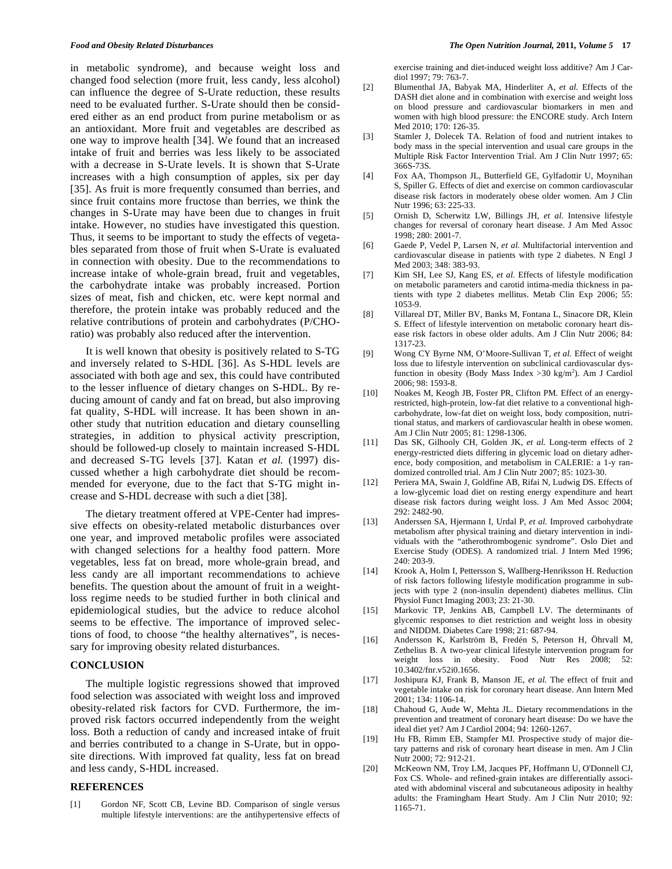in metabolic syndrome), and because weight loss and changed food selection (more fruit, less candy, less alcohol) can influence the degree of S-Urate reduction, these results need to be evaluated further. S-Urate should then be considered either as an end product from purine metabolism or as an antioxidant. More fruit and vegetables are described as one way to improve health [34]. We found that an increased intake of fruit and berries was less likely to be associated with a decrease in S-Urate levels. It is shown that S-Urate increases with a high consumption of apples, six per day [35]. As fruit is more frequently consumed than berries, and since fruit contains more fructose than berries, we think the changes in S-Urate may have been due to changes in fruit intake. However, no studies have investigated this question. Thus, it seems to be important to study the effects of vegetables separated from those of fruit when S-Urate is evaluated in connection with obesity. Due to the recommendations to increase intake of whole-grain bread, fruit and vegetables, the carbohydrate intake was probably increased. Portion sizes of meat, fish and chicken, etc. were kept normal and therefore, the protein intake was probably reduced and the relative contributions of protein and carbohydrates (P/CHOratio) was probably also reduced after the intervention.

 It is well known that obesity is positively related to S-TG and inversely related to S-HDL [36]. As S-HDL levels are associated with both age and sex, this could have contributed to the lesser influence of dietary changes on S-HDL. By reducing amount of candy and fat on bread, but also improving fat quality, S-HDL will increase. It has been shown in another study that nutrition education and dietary counselling strategies, in addition to physical activity prescription, should be followed-up closely to maintain increased S-HDL and decreased S-TG levels [37]. Katan *et al.* (1997) discussed whether a high carbohydrate diet should be recommended for everyone, due to the fact that S-TG might increase and S-HDL decrease with such a diet [38].

 The dietary treatment offered at VPE-Center had impressive effects on obesity-related metabolic disturbances over one year, and improved metabolic profiles were associated with changed selections for a healthy food pattern. More vegetables, less fat on bread, more whole-grain bread, and less candy are all important recommendations to achieve benefits. The question about the amount of fruit in a weightloss regime needs to be studied further in both clinical and epidemiological studies, but the advice to reduce alcohol seems to be effective. The importance of improved selections of food, to choose "the healthy alternatives", is necessary for improving obesity related disturbances.

#### **CONCLUSION**

 The multiple logistic regressions showed that improved food selection was associated with weight loss and improved obesity-related risk factors for CVD. Furthermore, the improved risk factors occurred independently from the weight loss. Both a reduction of candy and increased intake of fruit and berries contributed to a change in S-Urate, but in opposite directions. With improved fat quality, less fat on bread and less candy, S-HDL increased.

#### **REFERENCES**

[1] Gordon NF, Scott CB, Levine BD. Comparison of single versus multiple lifestyle interventions: are the antihypertensive effects of exercise training and diet-induced weight loss additive? Am J Cardiol 1997; 79: 763-7.

- [2] Blumenthal JA, Babyak MA, Hinderliter A, *et al.* Effects of the DASH diet alone and in combination with exercise and weight loss on blood pressure and cardiovascular biomarkers in men and women with high blood pressure: the ENCORE study. Arch Intern Med 2010; 170: 126-35.
- [3] Stamler J, Dolecek TA. Relation of food and nutrient intakes to body mass in the special intervention and usual care groups in the Multiple Risk Factor Intervention Trial. Am J Clin Nutr 1997; 65: 366S-73S.
- [4] Fox AA, Thompson JL, Butterfield GE, Gylfadottir U, Moynihan S, Spiller G. Effects of diet and exercise on common cardiovascular disease risk factors in moderately obese older women. Am J Clin Nutr 1996; 63: 225-33.
- [5] Ornish D, Scherwitz LW, Billings JH, *et al.* Intensive lifestyle changes for reversal of coronary heart disease. J Am Med Assoc 1998; 280: 2001-7.
- [6] Gaede P, Vedel P, Larsen N, *et al.* Multifactorial intervention and cardiovascular disease in patients with type 2 diabetes. N Engl J Med 2003; 348: 383-93.
- [7] Kim SH, Lee SJ, Kang ES, *et al.* Effects of lifestyle modification on metabolic parameters and carotid intima-media thickness in patients with type 2 diabetes mellitus. Metab Clin Exp 2006; 55: 1053-9.
- [8] Villareal DT, Miller BV, Banks M, Fontana L, Sinacore DR, Klein S. Effect of lifestyle intervention on metabolic coronary heart disease risk factors in obese older adults. Am J Clin Nutr 2006; 84: 1317-23.
- [9] Wong CY Byrne NM, O'Moore-Sullivan T, *et al.* Effect of weight loss due to lifestyle intervention on subclinical cardiovascular dysfunction in obesity (Body Mass Index  $>$  30 kg/m<sup>2</sup>). Am J Cardiol 2006; 98: 1593-8.
- [10] Noakes M, Keogh JB, Foster PR, Clifton PM. Effect of an energyrestricted, high-protein, low-fat diet relative to a conventional highcarbohydrate, low-fat diet on weight loss, body composition, nutritional status, and markers of cardiovascular health in obese women. Am J Clin Nutr 2005; 81: 1298-1306.
- [11] Das SK, Gilhooly CH, Golden JK, *et al.* Long-term effects of 2 energy-restricted diets differing in glycemic load on dietary adherence, body composition, and metabolism in CALERIE: a 1-y randomized controlled trial. Am J Clin Nutr 2007; 85: 1023-30.
- [12] Periera MA, Swain J, Goldfine AB, Rifai N, Ludwig DS. Effects of a low-glycemic load diet on resting energy expenditure and heart disease risk factors during weight loss. J Am Med Assoc 2004; 292: 2482-90.
- [13] Anderssen SA, Hjermann I, Urdal P, *et al.* Improved carbohydrate metabolism after physical training and dietary intervention in individuals with the "atherothrombogenic syndrome". Oslo Diet and Exercise Study (ODES). A randomized trial. J Intern Med 1996; 240: 203-9.
- [14] Krook A, Holm I, Pettersson S, Wallberg-Henriksson H. Reduction of risk factors following lifestyle modification programme in subjects with type 2 (non-insulin dependent) diabetes mellitus. Clin Physiol Funct Imaging 2003; 23: 21-30.
- [15] Markovic TP, Jenkins AB, Campbell LV. The determinants of glycemic responses to diet restriction and weight loss in obesity and NIDDM. Diabetes Care 1998; 21: 687-94.
- [16] Andersson K, Karlström B, Fredén S, Peterson H, Öhrvall M, Zethelius B. A two-year clinical lifestyle intervention program for weight loss in obesity. Food Nutr Res 2008; 52: 10.3402/fnr.v52i0.1656.
- [17] Joshipura KJ, Frank B, Manson JE, *et al.* The effect of fruit and vegetable intake on risk for coronary heart disease. Ann Intern Med 2001; 134: 1106-14.
- [18] Chahoud G, Aude W, Mehta JL. Dietary recommendations in the prevention and treatment of coronary heart disease: Do we have the ideal diet yet? Am J Cardiol 2004; 94: 1260-1267.
- [19] Hu FB, Rimm EB, Stampfer MJ. Prospective study of major dietary patterns and risk of coronary heart disease in men. Am J Clin Nutr 2000; 72: 912-21.
- [20] McKeown NM, Troy LM, Jacques PF, Hoffmann U, O'Donnell CJ, Fox CS. Whole- and refined-grain intakes are differentially associated with abdominal visceral and subcutaneous adiposity in healthy adults: the Framingham Heart Study. Am J Clin Nutr 2010; 92: 1165-71.